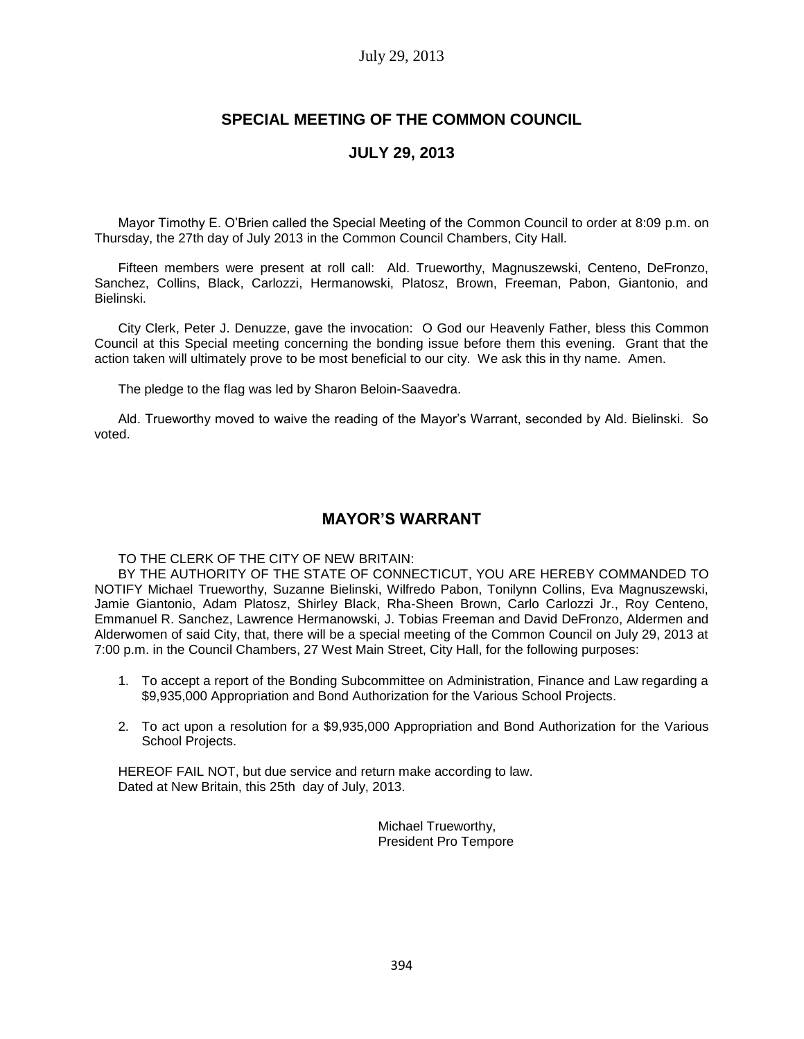#### July 29, 2013

# **SPECIAL MEETING OF THE COMMON COUNCIL**

## **JULY 29, 2013**

Mayor Timothy E. O'Brien called the Special Meeting of the Common Council to order at 8:09 p.m. on Thursday, the 27th day of July 2013 in the Common Council Chambers, City Hall.

Fifteen members were present at roll call: Ald. Trueworthy, Magnuszewski, Centeno, DeFronzo, Sanchez, Collins, Black, Carlozzi, Hermanowski, Platosz, Brown, Freeman, Pabon, Giantonio, and Bielinski.

City Clerk, Peter J. Denuzze, gave the invocation: O God our Heavenly Father, bless this Common Council at this Special meeting concerning the bonding issue before them this evening. Grant that the action taken will ultimately prove to be most beneficial to our city. We ask this in thy name. Amen.

The pledge to the flag was led by Sharon Beloin-Saavedra.

Ald. Trueworthy moved to waive the reading of the Mayor's Warrant, seconded by Ald. Bielinski. So voted.

## **MAYOR'S WARRANT**

TO THE CLERK OF THE CITY OF NEW BRITAIN:

BY THE AUTHORITY OF THE STATE OF CONNECTICUT, YOU ARE HEREBY COMMANDED TO NOTIFY Michael Trueworthy, Suzanne Bielinski, Wilfredo Pabon, Tonilynn Collins, Eva Magnuszewski, Jamie Giantonio, Adam Platosz, Shirley Black, Rha-Sheen Brown, Carlo Carlozzi Jr., Roy Centeno, Emmanuel R. Sanchez, Lawrence Hermanowski, J. Tobias Freeman and David DeFronzo, Aldermen and Alderwomen of said City, that, there will be a special meeting of the Common Council on July 29, 2013 at 7:00 p.m. in the Council Chambers, 27 West Main Street, City Hall, for the following purposes:

- 1. To accept a report of the Bonding Subcommittee on Administration, Finance and Law regarding a \$9,935,000 Appropriation and Bond Authorization for the Various School Projects.
- 2. To act upon a resolution for a \$9,935,000 Appropriation and Bond Authorization for the Various School Projects.

HEREOF FAIL NOT, but due service and return make according to law. Dated at New Britain, this 25th day of July, 2013.

> Michael Trueworthy, President Pro Tempore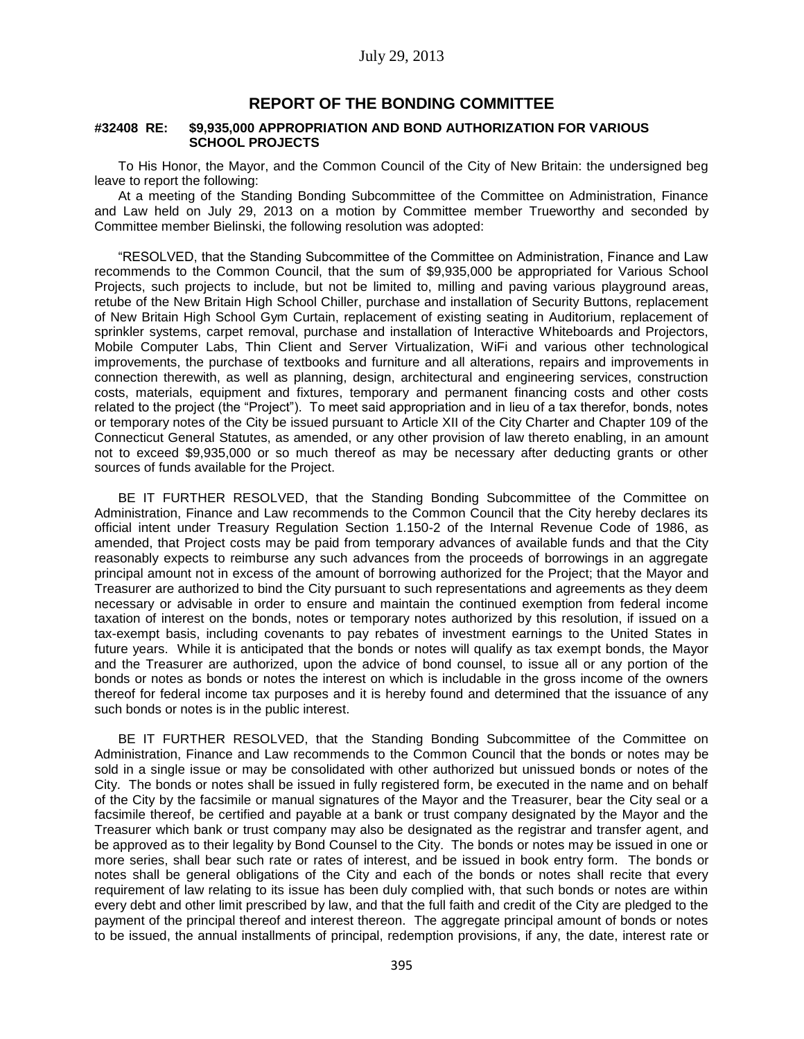### **REPORT OF THE BONDING COMMITTEE**

#### **#32408 RE: \$9,935,000 APPROPRIATION AND BOND AUTHORIZATION FOR VARIOUS SCHOOL PROJECTS**

To His Honor, the Mayor, and the Common Council of the City of New Britain: the undersigned beg leave to report the following:

At a meeting of the Standing Bonding Subcommittee of the Committee on Administration, Finance and Law held on July 29, 2013 on a motion by Committee member Trueworthy and seconded by Committee member Bielinski, the following resolution was adopted:

"RESOLVED, that the Standing Subcommittee of the Committee on Administration, Finance and Law recommends to the Common Council, that the sum of \$9,935,000 be appropriated for Various School Projects, such projects to include, but not be limited to, milling and paving various playground areas, retube of the New Britain High School Chiller, purchase and installation of Security Buttons, replacement of New Britain High School Gym Curtain, replacement of existing seating in Auditorium, replacement of sprinkler systems, carpet removal, purchase and installation of Interactive Whiteboards and Projectors, Mobile Computer Labs, Thin Client and Server Virtualization, WiFi and various other technological improvements, the purchase of textbooks and furniture and all alterations, repairs and improvements in connection therewith, as well as planning, design, architectural and engineering services, construction costs, materials, equipment and fixtures, temporary and permanent financing costs and other costs related to the project (the "Project"). To meet said appropriation and in lieu of a tax therefor, bonds, notes or temporary notes of the City be issued pursuant to Article XII of the City Charter and Chapter 109 of the Connecticut General Statutes, as amended, or any other provision of law thereto enabling, in an amount not to exceed \$9,935,000 or so much thereof as may be necessary after deducting grants or other sources of funds available for the Project.

BE IT FURTHER RESOLVED, that the Standing Bonding Subcommittee of the Committee on Administration, Finance and Law recommends to the Common Council that the City hereby declares its official intent under Treasury Regulation Section 1.150-2 of the Internal Revenue Code of 1986, as amended, that Project costs may be paid from temporary advances of available funds and that the City reasonably expects to reimburse any such advances from the proceeds of borrowings in an aggregate principal amount not in excess of the amount of borrowing authorized for the Project; that the Mayor and Treasurer are authorized to bind the City pursuant to such representations and agreements as they deem necessary or advisable in order to ensure and maintain the continued exemption from federal income taxation of interest on the bonds, notes or temporary notes authorized by this resolution, if issued on a tax-exempt basis, including covenants to pay rebates of investment earnings to the United States in future years. While it is anticipated that the bonds or notes will qualify as tax exempt bonds, the Mayor and the Treasurer are authorized, upon the advice of bond counsel, to issue all or any portion of the bonds or notes as bonds or notes the interest on which is includable in the gross income of the owners thereof for federal income tax purposes and it is hereby found and determined that the issuance of any such bonds or notes is in the public interest.

BE IT FURTHER RESOLVED, that the Standing Bonding Subcommittee of the Committee on Administration, Finance and Law recommends to the Common Council that the bonds or notes may be sold in a single issue or may be consolidated with other authorized but unissued bonds or notes of the City. The bonds or notes shall be issued in fully registered form, be executed in the name and on behalf of the City by the facsimile or manual signatures of the Mayor and the Treasurer, bear the City seal or a facsimile thereof, be certified and payable at a bank or trust company designated by the Mayor and the Treasurer which bank or trust company may also be designated as the registrar and transfer agent, and be approved as to their legality by Bond Counsel to the City. The bonds or notes may be issued in one or more series, shall bear such rate or rates of interest, and be issued in book entry form. The bonds or notes shall be general obligations of the City and each of the bonds or notes shall recite that every requirement of law relating to its issue has been duly complied with, that such bonds or notes are within every debt and other limit prescribed by law, and that the full faith and credit of the City are pledged to the payment of the principal thereof and interest thereon. The aggregate principal amount of bonds or notes to be issued, the annual installments of principal, redemption provisions, if any, the date, interest rate or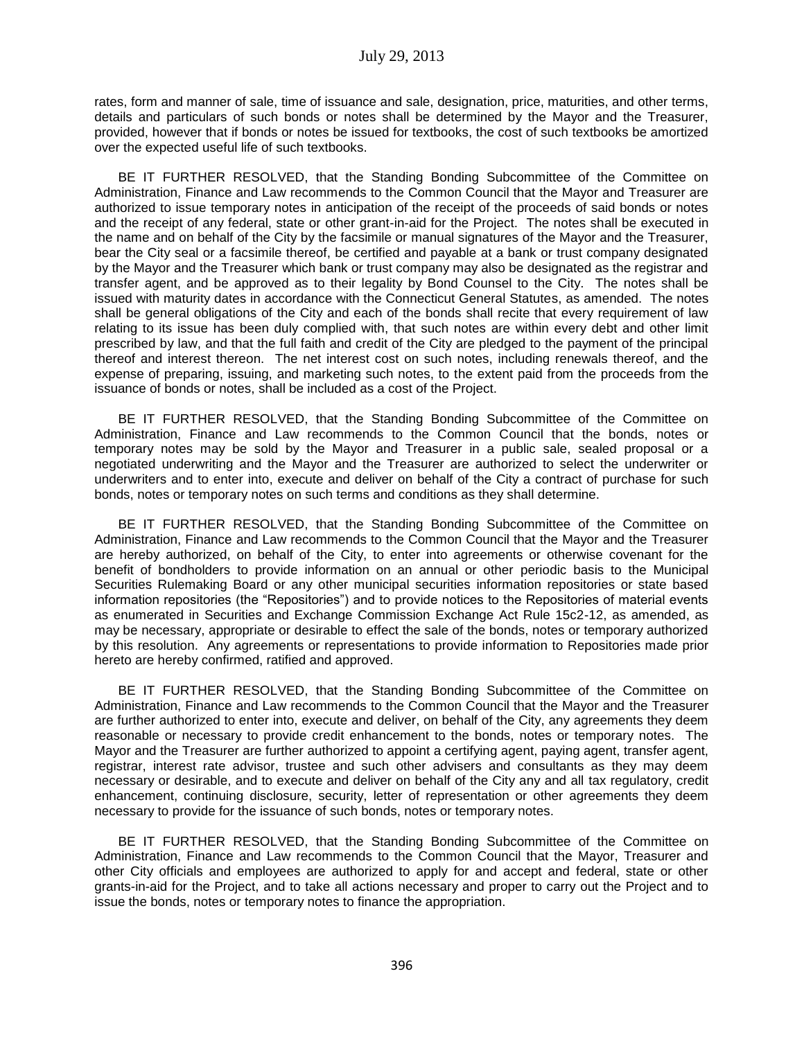rates, form and manner of sale, time of issuance and sale, designation, price, maturities, and other terms, details and particulars of such bonds or notes shall be determined by the Mayor and the Treasurer, provided, however that if bonds or notes be issued for textbooks, the cost of such textbooks be amortized over the expected useful life of such textbooks.

BE IT FURTHER RESOLVED, that the Standing Bonding Subcommittee of the Committee on Administration, Finance and Law recommends to the Common Council that the Mayor and Treasurer are authorized to issue temporary notes in anticipation of the receipt of the proceeds of said bonds or notes and the receipt of any federal, state or other grant-in-aid for the Project. The notes shall be executed in the name and on behalf of the City by the facsimile or manual signatures of the Mayor and the Treasurer, bear the City seal or a facsimile thereof, be certified and payable at a bank or trust company designated by the Mayor and the Treasurer which bank or trust company may also be designated as the registrar and transfer agent, and be approved as to their legality by Bond Counsel to the City. The notes shall be issued with maturity dates in accordance with the Connecticut General Statutes, as amended. The notes shall be general obligations of the City and each of the bonds shall recite that every requirement of law relating to its issue has been duly complied with, that such notes are within every debt and other limit prescribed by law, and that the full faith and credit of the City are pledged to the payment of the principal thereof and interest thereon. The net interest cost on such notes, including renewals thereof, and the expense of preparing, issuing, and marketing such notes, to the extent paid from the proceeds from the issuance of bonds or notes, shall be included as a cost of the Project.

BE IT FURTHER RESOLVED, that the Standing Bonding Subcommittee of the Committee on Administration, Finance and Law recommends to the Common Council that the bonds, notes or temporary notes may be sold by the Mayor and Treasurer in a public sale, sealed proposal or a negotiated underwriting and the Mayor and the Treasurer are authorized to select the underwriter or underwriters and to enter into, execute and deliver on behalf of the City a contract of purchase for such bonds, notes or temporary notes on such terms and conditions as they shall determine.

BE IT FURTHER RESOLVED, that the Standing Bonding Subcommittee of the Committee on Administration, Finance and Law recommends to the Common Council that the Mayor and the Treasurer are hereby authorized, on behalf of the City, to enter into agreements or otherwise covenant for the benefit of bondholders to provide information on an annual or other periodic basis to the Municipal Securities Rulemaking Board or any other municipal securities information repositories or state based information repositories (the "Repositories") and to provide notices to the Repositories of material events as enumerated in Securities and Exchange Commission Exchange Act Rule 15c2-12, as amended, as may be necessary, appropriate or desirable to effect the sale of the bonds, notes or temporary authorized by this resolution. Any agreements or representations to provide information to Repositories made prior hereto are hereby confirmed, ratified and approved.

BE IT FURTHER RESOLVED, that the Standing Bonding Subcommittee of the Committee on Administration, Finance and Law recommends to the Common Council that the Mayor and the Treasurer are further authorized to enter into, execute and deliver, on behalf of the City, any agreements they deem reasonable or necessary to provide credit enhancement to the bonds, notes or temporary notes. The Mayor and the Treasurer are further authorized to appoint a certifying agent, paying agent, transfer agent, registrar, interest rate advisor, trustee and such other advisers and consultants as they may deem necessary or desirable, and to execute and deliver on behalf of the City any and all tax regulatory, credit enhancement, continuing disclosure, security, letter of representation or other agreements they deem necessary to provide for the issuance of such bonds, notes or temporary notes.

BE IT FURTHER RESOLVED, that the Standing Bonding Subcommittee of the Committee on Administration, Finance and Law recommends to the Common Council that the Mayor, Treasurer and other City officials and employees are authorized to apply for and accept and federal, state or other grants-in-aid for the Project, and to take all actions necessary and proper to carry out the Project and to issue the bonds, notes or temporary notes to finance the appropriation.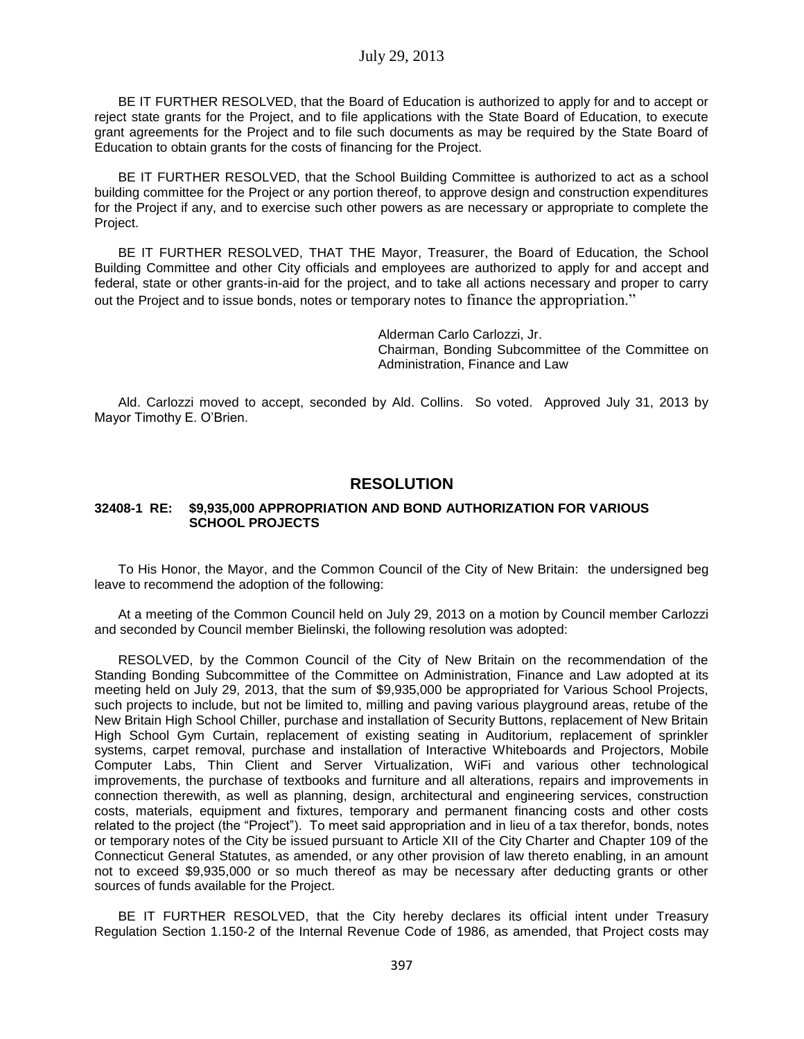BE IT FURTHER RESOLVED, that the Board of Education is authorized to apply for and to accept or reject state grants for the Project, and to file applications with the State Board of Education, to execute grant agreements for the Project and to file such documents as may be required by the State Board of Education to obtain grants for the costs of financing for the Project.

BE IT FURTHER RESOLVED, that the School Building Committee is authorized to act as a school building committee for the Project or any portion thereof, to approve design and construction expenditures for the Project if any, and to exercise such other powers as are necessary or appropriate to complete the Project.

BE IT FURTHER RESOLVED, THAT THE Mayor, Treasurer, the Board of Education, the School Building Committee and other City officials and employees are authorized to apply for and accept and federal, state or other grants-in-aid for the project, and to take all actions necessary and proper to carry out the Project and to issue bonds, notes or temporary notes to finance the appropriation."

> Alderman Carlo Carlozzi, Jr. Chairman, Bonding Subcommittee of the Committee on Administration, Finance and Law

Ald. Carlozzi moved to accept, seconded by Ald. Collins. So voted. Approved July 31, 2013 by Mayor Timothy E. O'Brien.

## **RESOLUTION**

#### **32408-1 RE: \$9,935,000 APPROPRIATION AND BOND AUTHORIZATION FOR VARIOUS SCHOOL PROJECTS**

To His Honor, the Mayor, and the Common Council of the City of New Britain: the undersigned beg leave to recommend the adoption of the following:

At a meeting of the Common Council held on July 29, 2013 on a motion by Council member Carlozzi and seconded by Council member Bielinski, the following resolution was adopted:

RESOLVED, by the Common Council of the City of New Britain on the recommendation of the Standing Bonding Subcommittee of the Committee on Administration, Finance and Law adopted at its meeting held on July 29, 2013, that the sum of \$9,935,000 be appropriated for Various School Projects, such projects to include, but not be limited to, milling and paving various playground areas, retube of the New Britain High School Chiller, purchase and installation of Security Buttons, replacement of New Britain High School Gym Curtain, replacement of existing seating in Auditorium, replacement of sprinkler systems, carpet removal, purchase and installation of Interactive Whiteboards and Projectors, Mobile Computer Labs, Thin Client and Server Virtualization, WiFi and various other technological improvements, the purchase of textbooks and furniture and all alterations, repairs and improvements in connection therewith, as well as planning, design, architectural and engineering services, construction costs, materials, equipment and fixtures, temporary and permanent financing costs and other costs related to the project (the "Project"). To meet said appropriation and in lieu of a tax therefor, bonds, notes or temporary notes of the City be issued pursuant to Article XII of the City Charter and Chapter 109 of the Connecticut General Statutes, as amended, or any other provision of law thereto enabling, in an amount not to exceed \$9,935,000 or so much thereof as may be necessary after deducting grants or other sources of funds available for the Project.

BE IT FURTHER RESOLVED, that the City hereby declares its official intent under Treasury Regulation Section 1.150-2 of the Internal Revenue Code of 1986, as amended, that Project costs may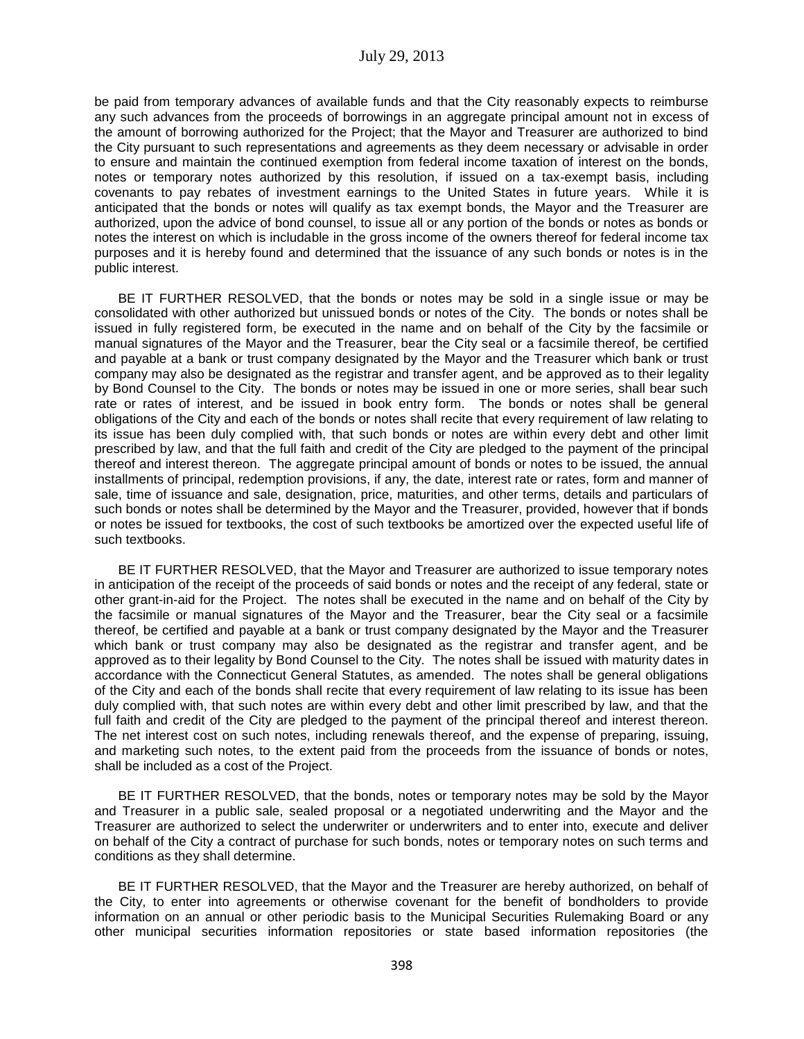be paid from temporary advances of available funds and that the City reasonably expects to reimburse any such advances from the proceeds of borrowings in an aggregate principal amount not in excess of the amount of borrowing authorized for the Project; that the Mayor and Treasurer are authorized to bind the City pursuant to such representations and agreements as they deem necessary or advisable in order to ensure and maintain the continued exemption from federal income taxation of interest on the bonds, notes or temporary notes authorized by this resolution, if issued on a tax-exempt basis, including covenants to pay rebates of investment earnings to the United States in future years. While it is anticipated that the bonds or notes will qualify as tax exempt bonds, the Mayor and the Treasurer are authorized, upon the advice of bond counsel, to issue all or any portion of the bonds or notes as bonds or notes the interest on which is includable in the gross income of the owners thereof for federal income tax purposes and it is hereby found and determined that the issuance of any such bonds or notes is in the public interest.

BE IT FURTHER RESOLVED, that the bonds or notes may be sold in a single issue or may be consolidated with other authorized but unissued bonds or notes of the City. The bonds or notes shall be issued in fully registered form, be executed in the name and on behalf of the City by the facsimile or manual signatures of the Mayor and the Treasurer, bear the City seal or a facsimile thereof, be certified and payable at a bank or trust company designated by the Mayor and the Treasurer which bank or trust company may also be designated as the registrar and transfer agent, and be approved as to their legality by Bond Counsel to the City. The bonds or notes may be issued in one or more series, shall bear such rate or rates of interest, and be issued in book entry form. The bonds or notes shall be general obligations of the City and each of the bonds or notes shall recite that every requirement of law relating to its issue has been duly complied with, that such bonds or notes are within every debt and other limit prescribed by law, and that the full faith and credit of the City are pledged to the payment of the principal thereof and interest thereon. The aggregate principal amount of bonds or notes to be issued, the annual installments of principal, redemption provisions, if any, the date, interest rate or rates, form and manner of sale, time of issuance and sale, designation, price, maturities, and other terms, details and particulars of such bonds or notes shall be determined by the Mayor and the Treasurer, provided, however that if bonds or notes be issued for textbooks, the cost of such textbooks be amortized over the expected useful life of such textbooks.

BE IT FURTHER RESOLVED, that the Mayor and Treasurer are authorized to issue temporary notes in anticipation of the receipt of the proceeds of said bonds or notes and the receipt of any federal, state or other grant-in-aid for the Project. The notes shall be executed in the name and on behalf of the City by the facsimile or manual signatures of the Mayor and the Treasurer, bear the City seal or a facsimile thereof, be certified and payable at a bank or trust company designated by the Mayor and the Treasurer which bank or trust company may also be designated as the registrar and transfer agent, and be approved as to their legality by Bond Counsel to the City. The notes shall be issued with maturity dates in accordance with the Connecticut General Statutes, as amended. The notes shall be general obligations of the City and each of the bonds shall recite that every requirement of law relating to its issue has been duly complied with, that such notes are within every debt and other limit prescribed by law, and that the full faith and credit of the City are pledged to the payment of the principal thereof and interest thereon. The net interest cost on such notes, including renewals thereof, and the expense of preparing, issuing, and marketing such notes, to the extent paid from the proceeds from the issuance of bonds or notes, shall be included as a cost of the Project.

BE IT FURTHER RESOLVED, that the bonds, notes or temporary notes may be sold by the Mayor and Treasurer in a public sale, sealed proposal or a negotiated underwriting and the Mayor and the Treasurer are authorized to select the underwriter or underwriters and to enter into, execute and deliver on behalf of the City a contract of purchase for such bonds, notes or temporary notes on such terms and conditions as they shall determine.

BE IT FURTHER RESOLVED, that the Mayor and the Treasurer are hereby authorized, on behalf of the City, to enter into agreements or otherwise covenant for the benefit of bondholders to provide information on an annual or other periodic basis to the Municipal Securities Rulemaking Board or any other municipal securities information repositories or state based information repositories (the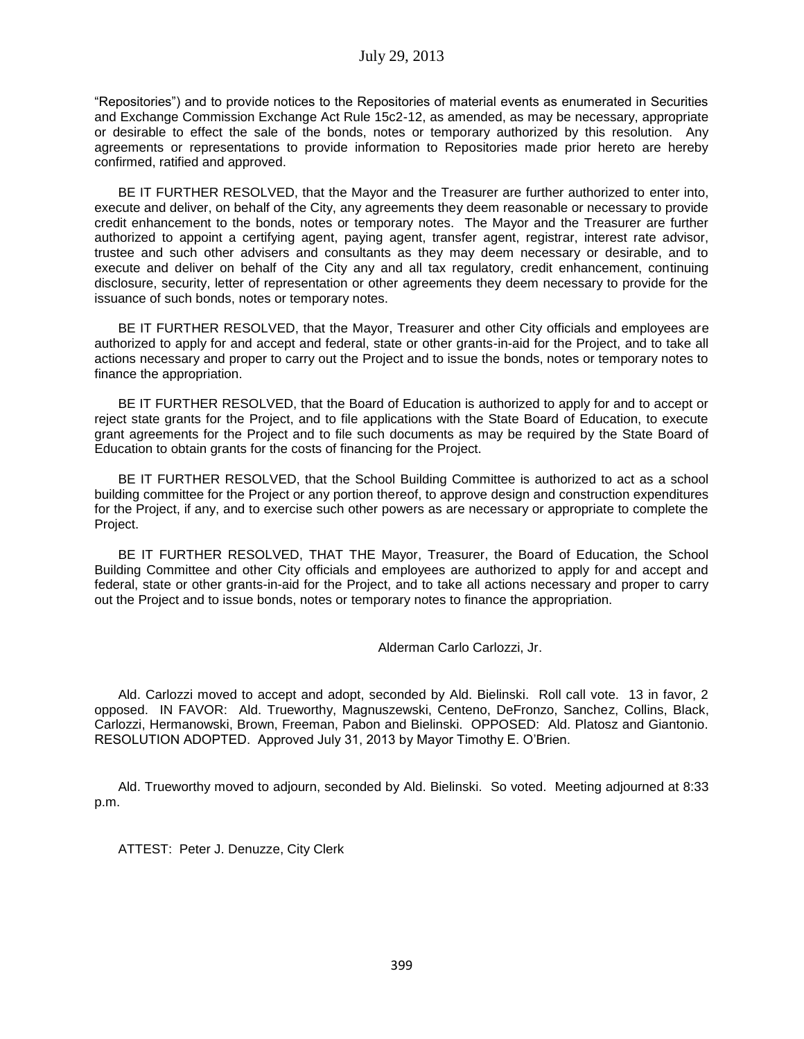"Repositories") and to provide notices to the Repositories of material events as enumerated in Securities and Exchange Commission Exchange Act Rule 15c2-12, as amended, as may be necessary, appropriate or desirable to effect the sale of the bonds, notes or temporary authorized by this resolution. Any agreements or representations to provide information to Repositories made prior hereto are hereby confirmed, ratified and approved.

BE IT FURTHER RESOLVED, that the Mayor and the Treasurer are further authorized to enter into, execute and deliver, on behalf of the City, any agreements they deem reasonable or necessary to provide credit enhancement to the bonds, notes or temporary notes. The Mayor and the Treasurer are further authorized to appoint a certifying agent, paying agent, transfer agent, registrar, interest rate advisor, trustee and such other advisers and consultants as they may deem necessary or desirable, and to execute and deliver on behalf of the City any and all tax regulatory, credit enhancement, continuing disclosure, security, letter of representation or other agreements they deem necessary to provide for the issuance of such bonds, notes or temporary notes.

BE IT FURTHER RESOLVED, that the Mayor, Treasurer and other City officials and employees are authorized to apply for and accept and federal, state or other grants-in-aid for the Project, and to take all actions necessary and proper to carry out the Project and to issue the bonds, notes or temporary notes to finance the appropriation.

BE IT FURTHER RESOLVED, that the Board of Education is authorized to apply for and to accept or reject state grants for the Project, and to file applications with the State Board of Education, to execute grant agreements for the Project and to file such documents as may be required by the State Board of Education to obtain grants for the costs of financing for the Project.

BE IT FURTHER RESOLVED, that the School Building Committee is authorized to act as a school building committee for the Project or any portion thereof, to approve design and construction expenditures for the Project, if any, and to exercise such other powers as are necessary or appropriate to complete the Project.

BE IT FURTHER RESOLVED, THAT THE Mayor, Treasurer, the Board of Education, the School Building Committee and other City officials and employees are authorized to apply for and accept and federal, state or other grants-in-aid for the Project, and to take all actions necessary and proper to carry out the Project and to issue bonds, notes or temporary notes to finance the appropriation.

Alderman Carlo Carlozzi, Jr.

Ald. Carlozzi moved to accept and adopt, seconded by Ald. Bielinski. Roll call vote. 13 in favor, 2 opposed. IN FAVOR: Ald. Trueworthy, Magnuszewski, Centeno, DeFronzo, Sanchez, Collins, Black, Carlozzi, Hermanowski, Brown, Freeman, Pabon and Bielinski. OPPOSED: Ald. Platosz and Giantonio. RESOLUTION ADOPTED. Approved July 31, 2013 by Mayor Timothy E. O'Brien.

Ald. Trueworthy moved to adjourn, seconded by Ald. Bielinski. So voted. Meeting adjourned at 8:33 p.m.

ATTEST: Peter J. Denuzze, City Clerk